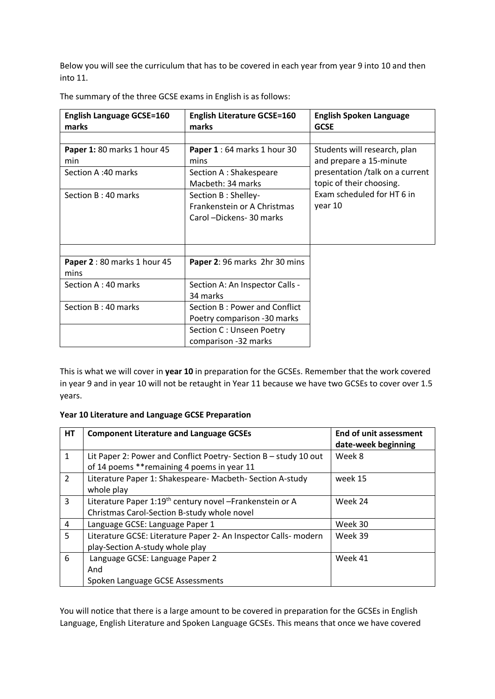Below you will see the curriculum that has to be covered in each year from year 9 into 10 and then into 11.

| <b>English Language GCSE=160</b>   | <b>English Literature GCSE=160</b>                                              | <b>English Spoken Language</b>                              |  |
|------------------------------------|---------------------------------------------------------------------------------|-------------------------------------------------------------|--|
| marks                              | marks                                                                           | <b>GCSE</b>                                                 |  |
|                                    |                                                                                 |                                                             |  |
| Paper 1: 80 marks 1 hour 45<br>min | Paper 1:64 marks 1 hour 30<br>mins                                              | Students will research, plan<br>and prepare a 15-minute     |  |
| Section A:40 marks                 | Section A : Shakespeare<br>Macbeth: 34 marks                                    | presentation /talk on a current<br>topic of their choosing. |  |
| Section B: 40 marks                | Section B : Shelley-<br>Frankenstein or A Christmas<br>Carol -Dickens- 30 marks | Exam scheduled for HT 6 in<br>year 10                       |  |
| Paper 2:80 marks 1 hour 45<br>mins | Paper 2: 96 marks 2hr 30 mins                                                   |                                                             |  |
| Section A: 40 marks                | Section A: An Inspector Calls -<br>34 marks                                     |                                                             |  |
| Section B: 40 marks                | Section B: Power and Conflict<br>Poetry comparison -30 marks                    |                                                             |  |
|                                    | Section C : Unseen Poetry<br>comparison -32 marks                               |                                                             |  |

The summary of the three GCSE exams in English is as follows:

This is what we will cover in **year 10** in preparation for the GCSEs. Remember that the work covered in year 9 and in year 10 will not be retaught in Year 11 because we have two GCSEs to cover over 1.5 years.

## **Year 10 Literature and Language GCSE Preparation**

| <b>HT</b>      | <b>Component Literature and Language GCSEs</b>                                                                      | <b>End of unit assessment</b><br>date-week beginning |  |
|----------------|---------------------------------------------------------------------------------------------------------------------|------------------------------------------------------|--|
| $\mathbf{1}$   | Lit Paper 2: Power and Conflict Poetry-Section B - study 10 out<br>of 14 poems ** remaining 4 poems in year 11      | Week 8                                               |  |
| $\overline{2}$ | Literature Paper 1: Shakespeare- Macbeth- Section A-study<br>whole play                                             | week 15                                              |  |
| 3              | Literature Paper 1:19 <sup>th</sup> century novel -Frankenstein or A<br>Christmas Carol-Section B-study whole novel | Week 24                                              |  |
| 4              | Language GCSE: Language Paper 1                                                                                     | Week 30                                              |  |
| 5              | Literature GCSE: Literature Paper 2- An Inspector Calls- modern<br>play-Section A-study whole play                  | Week 39                                              |  |
| 6              | Language GCSE: Language Paper 2<br>And<br>Spoken Language GCSE Assessments                                          | Week 41                                              |  |

You will notice that there is a large amount to be covered in preparation for the GCSEs in English Language, English Literature and Spoken Language GCSEs. This means that once we have covered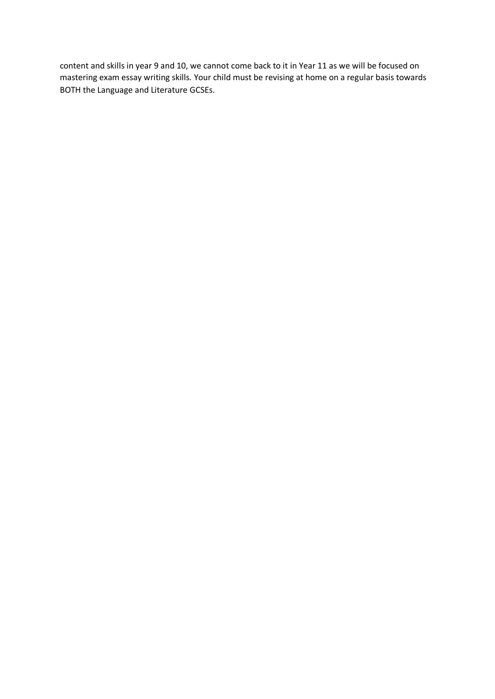content and skills in year 9 and 10, we cannot come back to it in Year 11 as we will be focused on mastering exam essay writing skills. Your child must be revising at home on a regular basis towards BOTH the Language and Literature GCSEs.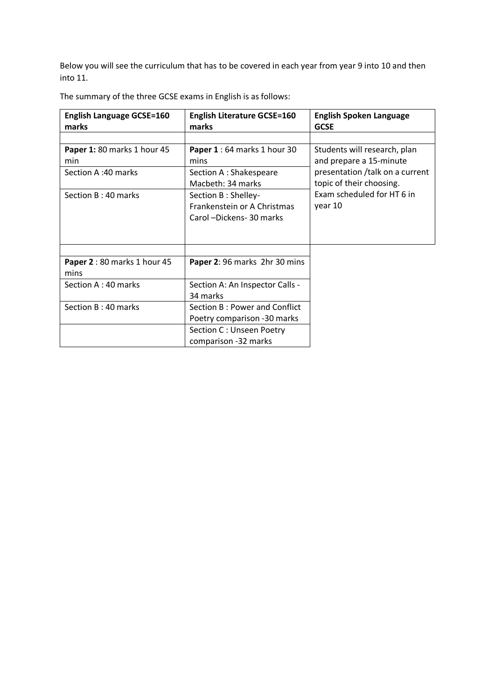Below you will see the curriculum that has to be covered in each year from year 9 into 10 and then into 11.

| <b>English Language GCSE=160</b> | <b>English Literature GCSE=160</b> | <b>English Spoken Language</b>   |  |
|----------------------------------|------------------------------------|----------------------------------|--|
| marks                            | marks                              | <b>GCSE</b>                      |  |
|                                  |                                    |                                  |  |
| Paper 1: 80 marks 1 hour 45      | Paper 1 : 64 marks 1 hour 30       | Students will research, plan     |  |
| min                              | mins                               | and prepare a 15-minute          |  |
| Section A:40 marks               | Section A : Shakespeare            | presentation / talk on a current |  |
|                                  | Macbeth: 34 marks                  | topic of their choosing.         |  |
| Section B: 40 marks              | Section B: Shelley-                | Exam scheduled for HT 6 in       |  |
|                                  | Frankenstein or A Christmas        | year 10                          |  |
|                                  | Carol -Dickens- 30 marks           |                                  |  |
|                                  |                                    |                                  |  |
|                                  |                                    |                                  |  |
|                                  |                                    |                                  |  |
| Paper 2 : 80 marks 1 hour 45     | Paper 2: 96 marks 2hr 30 mins      |                                  |  |
| mins                             |                                    |                                  |  |
| Section A: 40 marks              | Section A: An Inspector Calls -    |                                  |  |
|                                  | 34 marks                           |                                  |  |
| Section B: 40 marks              | Section B: Power and Conflict      |                                  |  |
|                                  | Poetry comparison -30 marks        |                                  |  |
|                                  | Section C: Unseen Poetry           |                                  |  |
|                                  | comparison -32 marks               |                                  |  |

The summary of the three GCSE exams in English is as follows: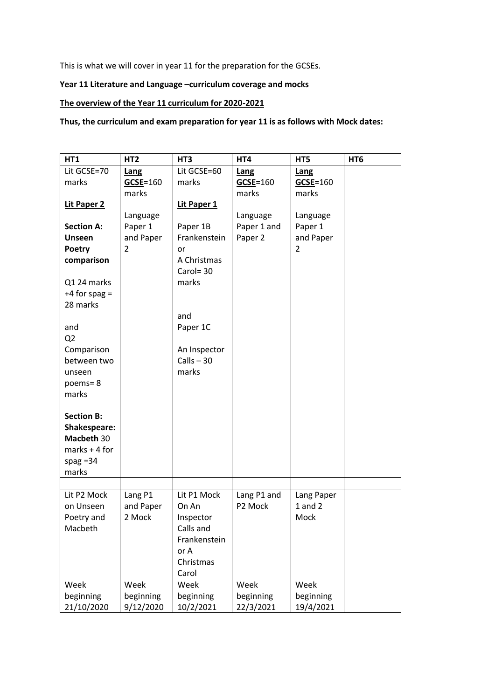This is what we will cover in year 11 for the preparation for the GCSEs.

## **Year 11 Literature and Language –curriculum coverage and mocks**

## **The overview of the Year 11 curriculum for 2020-2021**

**Thus, the curriculum and exam preparation for year 11 is as follows with Mock dates:**

| HT1               | HT <sub>2</sub> | HT <sub>3</sub> | HT4          | HT5                       | HT <sub>6</sub> |
|-------------------|-----------------|-----------------|--------------|---------------------------|-----------------|
| Lit GCSE=70       | Lang            | Lit GCSE=60     | Lang         | Lang                      |                 |
| marks             | $GCSE = 160$    | marks           | $GCSE = 160$ | $GCSE = 160$              |                 |
|                   | marks           |                 | marks        | marks                     |                 |
| Lit Paper 2       |                 | Lit Paper 1     |              |                           |                 |
|                   | Language        |                 | Language     | Language                  |                 |
| <b>Section A:</b> | Paper 1         | Paper 1B        | Paper 1 and  | Paper 1                   |                 |
| <b>Unseen</b>     | and Paper       | Frankenstein    | Paper 2      | and Paper                 |                 |
| Poetry            | $\overline{2}$  | or              |              | 2                         |                 |
| comparison        |                 | A Christmas     |              |                           |                 |
|                   |                 | $Carol = 30$    |              |                           |                 |
| Q1 24 marks       |                 | marks           |              |                           |                 |
| $+4$ for spag =   |                 |                 |              |                           |                 |
| 28 marks          |                 |                 |              |                           |                 |
|                   |                 | and             |              |                           |                 |
| and               |                 | Paper 1C        |              |                           |                 |
| Q <sub>2</sub>    |                 |                 |              |                           |                 |
| Comparison        |                 | An Inspector    |              |                           |                 |
| between two       |                 | $Calls - 30$    |              |                           |                 |
| unseen            |                 | marks           |              |                           |                 |
| poems=8           |                 |                 |              |                           |                 |
| marks             |                 |                 |              |                           |                 |
|                   |                 |                 |              |                           |                 |
| <b>Section B:</b> |                 |                 |              |                           |                 |
| Shakespeare:      |                 |                 |              |                           |                 |
| Macbeth 30        |                 |                 |              |                           |                 |
| $marks + 4 for$   |                 |                 |              |                           |                 |
| spag $=34$        |                 |                 |              |                           |                 |
| marks             |                 |                 |              |                           |                 |
|                   |                 |                 |              |                           |                 |
| Lit P2 Mock       | Lang P1         | Lit P1 Mock     | Lang P1 and  | Lang Paper<br>$1$ and $2$ |                 |
| on Unseen         | and Paper       | On An           | P2 Mock      | Mock                      |                 |
| Poetry and        | 2 Mock          | Inspector       |              |                           |                 |
| Macbeth           |                 | Calls and       |              |                           |                 |
|                   |                 | Frankenstein    |              |                           |                 |
|                   |                 | or A            |              |                           |                 |
|                   |                 | Christmas       |              |                           |                 |
|                   |                 | Carol           |              |                           |                 |
| Week              | Week            | Week            | Week         | Week                      |                 |
| beginning         | beginning       | beginning       | beginning    | beginning                 |                 |
| 21/10/2020        | 9/12/2020       | 10/2/2021       | 22/3/2021    | 19/4/2021                 |                 |